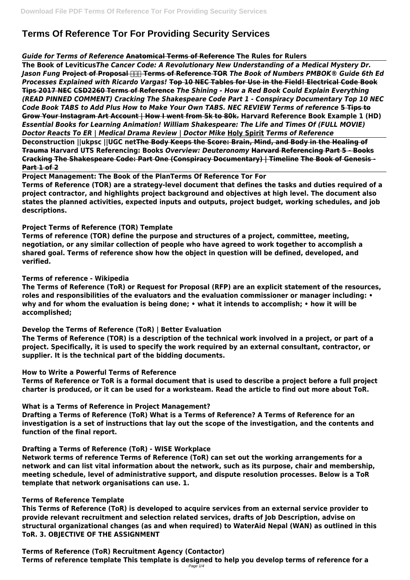# **Terms Of Reference Tor For Providing Security Services**

#### *Guide for Terms of Reference* **Anatomical Terms of Reference The Rules for Rulers**

**The Book of Leviticus***The Cancer Code: A Revolutionary New Understanding of a Medical Mystery Dr.* **Jason Fung <del>Project of Proposal FITH</del> Terms of Reference TOR The Book of Numbers PMBOK® Guide 6th Ed** *Processes Explained with Ricardo Vargas!* **Top 10 NEC Tables for Use in the Field! Electrical Code Book Tips 2017 NEC CSD2260 Terms of Reference** *The Shining - How a Red Book Could Explain Everything (READ PINNED COMMENT) Cracking The Shakespeare Code Part 1 - Conspiracy Documentary Top 10 NEC Code Book TABS to Add Plus How to Make Your Own TABS. NEC REVIEW Terms of reference* **5 Tips to Grow Your Instagram Art Account | How I went from 5k to 80k. Harvard Reference Book Example 1 (HD)** *Essential Books for Learning Animation! William Shakespeare: The Life and Times Of (FULL MOVIE) Doctor Reacts To ER | Medical Drama Review | Doctor Mike* **Holy Spirit** *Terms of Reference* **Deconstruction ||ukpsc ||UGC netThe Body Keeps the Score: Brain, Mind, and Body in the Healing of Trauma Harvard UTS Referencing: Books** *Overview: Deuteronomy* **Harvard Referencing Part 5 - Books Cracking The Shakespeare Code: Part One (Conspiracy Documentary) | Timeline The Book of Genesis - Part 1 of 2**

**Project Management: The Book of the PlanTerms Of Reference Tor For Terms of Reference (TOR) are a strategy-level document that defines the tasks and duties required of a project contractor, and highlights project background and objectives at high level. The document also states the planned activities, expected inputs and outputs, project budget, working schedules, and job descriptions.**

# **Project Terms of Reference (TOR) Template**

**Terms of reference (TOR) define the purpose and structures of a project, committee, meeting, negotiation, or any similar collection of people who have agreed to work together to accomplish a shared goal. Terms of reference show how the object in question will be defined, developed, and verified.**

**Terms of reference - Wikipedia**

**The Terms of Reference (ToR) or Request for Proposal (RFP) are an explicit statement of the resources, roles and responsibilities of the evaluators and the evaluation commissioner or manager including: • why and for whom the evaluation is being done; • what it intends to accomplish; • how it will be accomplished;**

**Develop the Terms of Reference (ToR) | Better Evaluation**

**The Terms of Reference (TOR) is a description of the technical work involved in a project, or part of a project. Specifically, it is used to specify the work required by an external consultant, contractor, or supplier. It is the technical part of the bidding documents.**

**How to Write a Powerful Terms of Reference**

**Terms of Reference or ToR is a formal document that is used to describe a project before a full project charter is produced, or it can be used for a worksteam. Read the article to find out more about ToR.**

**What is a Terms of Reference in Project Management?**

**Drafting a Terms of Reference (ToR) What is a Terms of Reference? A Terms of Reference for an investigation is a set of instructions that lay out the scope of the investigation, and the contents and function of the final report.**

**Drafting a Terms of Reference (ToR) - WISE Workplace**

**Network terms of reference Terms of Reference (ToR) can set out the working arrangements for a network and can list vital information about the network, such as its purpose, chair and membership, meeting schedule, level of administrative support, and dispute resolution processes. Below is a ToR template that network organisations can use. 1.**

#### **Terms of Reference Template**

**This Terms of Reference (ToR) is developed to acquire services from an external service provider to provide relevant recruitment and selection related services, drafts of Job Description, advise on structural organizational changes (as and when required) to WaterAid Nepal (WAN) as outlined in this ToR. 3. OBJECTIVE OF THE ASSIGNMENT**

**Terms of Reference (ToR) Recruitment Agency (Contactor) Terms of reference template This template is designed to help you develop terms of reference for a** Page 1/4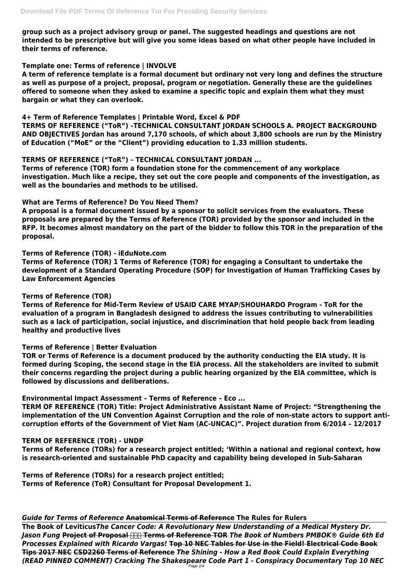**group such as a project advisory group or panel. The suggested headings and questions are not intended to be prescriptive but will give you some ideas based on what other people have included in their terms of reference.**

#### **Template one: Terms of reference | INVOLVE**

**A term of reference template is a formal document but ordinary not very long and defines the structure as well as purpose of a project, proposal, program or negotiation. Generally these are the guidelines offered to someone when they asked to examine a specific topic and explain them what they must bargain or what they can overlook.**

#### **4+ Term of Reference Templates | Printable Word, Excel & PDF**

**TERMS OF REFERENCE ("ToR") –TECHNICAL CONSULTANT JORDAN SCHOOLS A. PROJECT BACKGROUND AND OBJECTIVES Jordan has around 7,170 schools, of which about 3,800 schools are run by the Ministry of Education ("MoE" or the "Client") providing education to 1.33 million students.**

#### **TERMS OF REFERENCE ("ToR") – TECHNICAL CONSULTANT JORDAN ...**

**Terms of reference (TOR) form a foundation stone for the commencement of any workplace investigation. Much like a recipe, they set out the core people and components of the investigation, as well as the boundaries and methods to be utilised.**

#### **What are Terms of Reference? Do You Need Them?**

**A proposal is a formal document issued by a sponsor to solicit services from the evaluators. These proposals are prepared by the Terms of Reference (TOR) provided by the sponsor and included in the RFP. It becomes almost mandatory on the part of the bidder to follow this TOR in the preparation of the proposal.**

**Terms of Reference (TOR) - iEduNote.com**

**Terms of Reference (TOR) 1 Terms of Reference (TOR) for engaging a Consultant to undertake the development of a Standard Operating Procedure (SOP) for Investigation of Human Trafficking Cases by Law Enforcement Agencies**

# **Terms of Reference (TOR)**

**Terms of Reference for Mid-Term Review of USAID CARE MYAP/SHOUHARDO Program - ToR for the evaluation of a program in Bangladesh designed to address the issues contributing to vulnerabilities such as a lack of participation, social injustice, and discrimination that hold people back from leading healthy and productive lives**

# **Terms of Reference | Better Evaluation**

**TOR or Terms of Reference is a document produced by the authority conducting the EIA study. It is formed during Scoping, the second stage in the EIA process. All the stakeholders are invited to submit their concerns regarding the project during a public hearing organized by the EIA committee, which is followed by discussions and deliberations.**

**Environmental Impact Assessment – Terms of Reference – Eco ...**

**TERM OF REFERENCE (TOR) Title: Project Administrative Assistant Name of Project: "Strengthening the implementation of the UN Convention Against Corruption and the role of non-state actors to support anticorruption efforts of the Government of Viet Nam (AC-UNCAC)". Project duration from 6/2014 – 12/2017**

#### **TERM OF REFERENCE (TOR) - UNDP**

**Terms of Reference (TORs) for a research project entitled; 'Within a national and regional context, how is research-oriented and sustainable PhD capacity and capability being developed in Sub-Saharan**

**Terms of Reference (TORs) for a research project entitled; Terms of Reference (ToR) Consultant for Proposal Development 1.**

#### *Guide for Terms of Reference* **Anatomical Terms of Reference The Rules for Rulers**

**The Book of Leviticus***The Cancer Code: A Revolutionary New Understanding of a Medical Mystery Dr.* **Jason Fung <del>Project of Proposal [ | | |</del> Terms of Reference TOR** *The Book of Numbers PMBOK® Guide 6th Ed Processes Explained with Ricardo Vargas!* **Top 10 NEC Tables for Use in the Field! Electrical Code Book Tips 2017 NEC CSD2260 Terms of Reference** *The Shining - How a Red Book Could Explain Everything (READ PINNED COMMENT) Cracking The Shakespeare Code Part 1 - Conspiracy Documentary Top 10 NEC* Page 2/4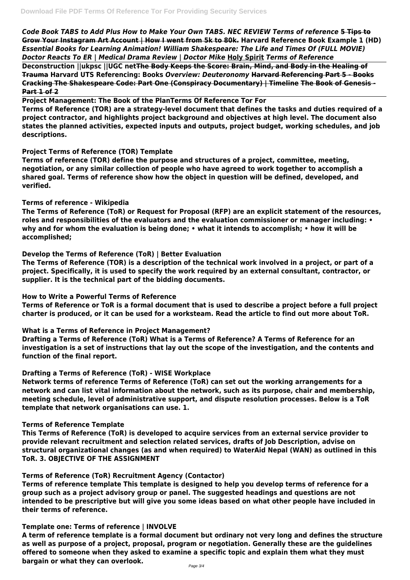*Code Book TABS to Add Plus How to Make Your Own TABS. NEC REVIEW Terms of reference* **5 Tips to Grow Your Instagram Art Account | How I went from 5k to 80k. Harvard Reference Book Example 1 (HD)** *Essential Books for Learning Animation! William Shakespeare: The Life and Times Of (FULL MOVIE) Doctor Reacts To ER | Medical Drama Review | Doctor Mike* **Holy Spirit** *Terms of Reference*

**Deconstruction ||ukpsc ||UGC netThe Body Keeps the Score: Brain, Mind, and Body in the Healing of Trauma Harvard UTS Referencing: Books** *Overview: Deuteronomy* **Harvard Referencing Part 5 - Books Cracking The Shakespeare Code: Part One (Conspiracy Documentary) | Timeline The Book of Genesis - Part 1 of 2**

**Project Management: The Book of the PlanTerms Of Reference Tor For Terms of Reference (TOR) are a strategy-level document that defines the tasks and duties required of a project contractor, and highlights project background and objectives at high level. The document also states the planned activities, expected inputs and outputs, project budget, working schedules, and job descriptions.**

# **Project Terms of Reference (TOR) Template**

**Terms of reference (TOR) define the purpose and structures of a project, committee, meeting, negotiation, or any similar collection of people who have agreed to work together to accomplish a shared goal. Terms of reference show how the object in question will be defined, developed, and verified.**

#### **Terms of reference - Wikipedia**

**The Terms of Reference (ToR) or Request for Proposal (RFP) are an explicit statement of the resources, roles and responsibilities of the evaluators and the evaluation commissioner or manager including: • why and for whom the evaluation is being done; • what it intends to accomplish; • how it will be accomplished;**

# **Develop the Terms of Reference (ToR) | Better Evaluation**

**The Terms of Reference (TOR) is a description of the technical work involved in a project, or part of a project. Specifically, it is used to specify the work required by an external consultant, contractor, or supplier. It is the technical part of the bidding documents.**

# **How to Write a Powerful Terms of Reference**

**Terms of Reference or ToR is a formal document that is used to describe a project before a full project charter is produced, or it can be used for a worksteam. Read the article to find out more about ToR.**

# **What is a Terms of Reference in Project Management?**

**Drafting a Terms of Reference (ToR) What is a Terms of Reference? A Terms of Reference for an investigation is a set of instructions that lay out the scope of the investigation, and the contents and function of the final report.**

# **Drafting a Terms of Reference (ToR) - WISE Workplace**

**Network terms of reference Terms of Reference (ToR) can set out the working arrangements for a network and can list vital information about the network, such as its purpose, chair and membership, meeting schedule, level of administrative support, and dispute resolution processes. Below is a ToR template that network organisations can use. 1.**

#### **Terms of Reference Template**

**This Terms of Reference (ToR) is developed to acquire services from an external service provider to**

**provide relevant recruitment and selection related services, drafts of Job Description, advise on structural organizational changes (as and when required) to WaterAid Nepal (WAN) as outlined in this ToR. 3. OBJECTIVE OF THE ASSIGNMENT**

#### **Terms of Reference (ToR) Recruitment Agency (Contactor)**

**Terms of reference template This template is designed to help you develop terms of reference for a group such as a project advisory group or panel. The suggested headings and questions are not intended to be prescriptive but will give you some ideas based on what other people have included in their terms of reference.**

#### **Template one: Terms of reference | INVOLVE**

**A term of reference template is a formal document but ordinary not very long and defines the structure as well as purpose of a project, proposal, program or negotiation. Generally these are the guidelines offered to someone when they asked to examine a specific topic and explain them what they must bargain or what they can overlook.**